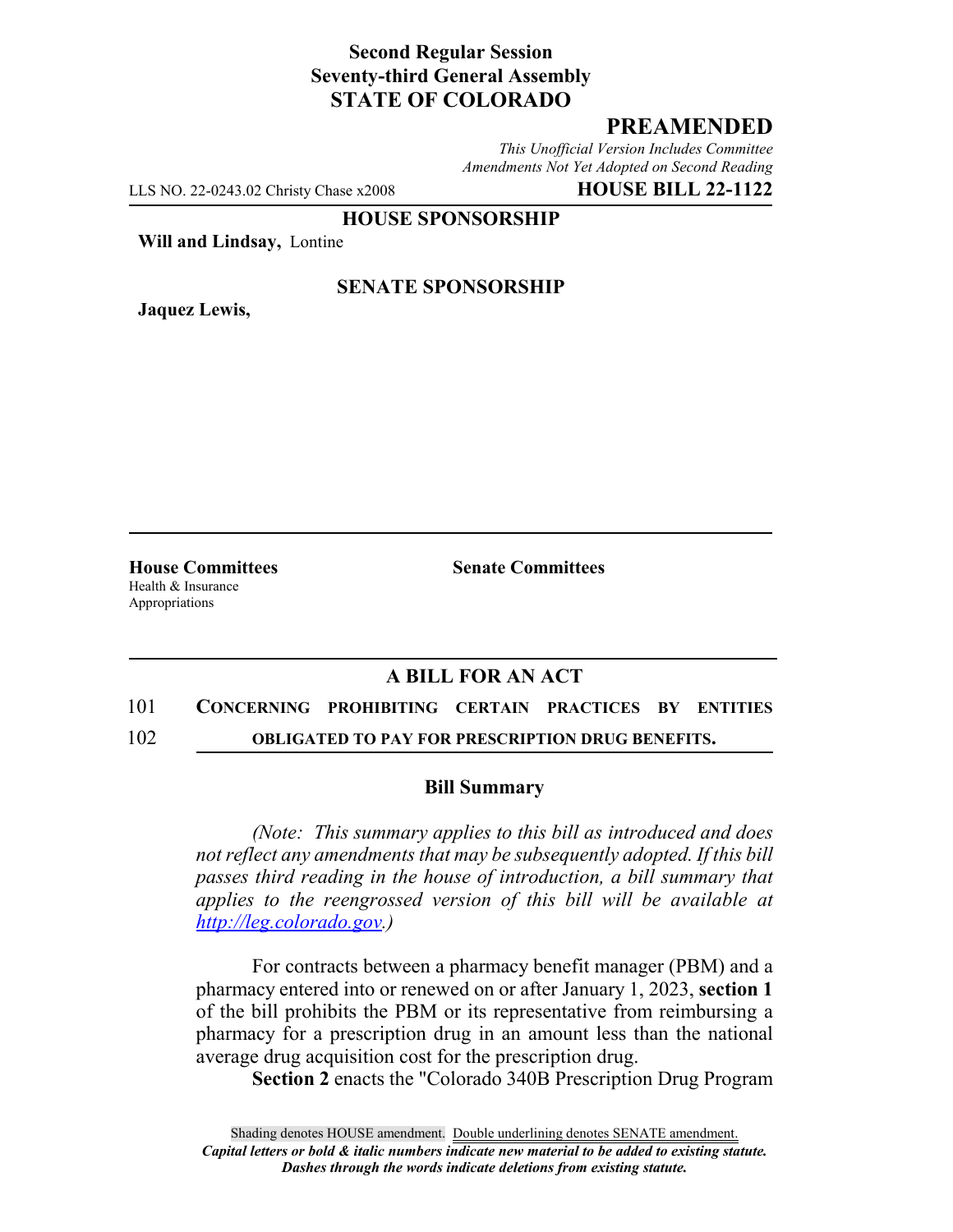## **Second Regular Session Seventy-third General Assembly STATE OF COLORADO**

## **PREAMENDED**

*This Unofficial Version Includes Committee Amendments Not Yet Adopted on Second Reading*

LLS NO. 22-0243.02 Christy Chase x2008 **HOUSE BILL 22-1122**

**HOUSE SPONSORSHIP**

**Will and Lindsay,** Lontine

**Jaquez Lewis,**

#### **SENATE SPONSORSHIP**

**House Committees Senate Committees** Health & Insurance Appropriations

## **A BILL FOR AN ACT**

# 101 **CONCERNING PROHIBITING CERTAIN PRACTICES BY ENTITIES**

102 **OBLIGATED TO PAY FOR PRESCRIPTION DRUG BENEFITS.**

#### **Bill Summary**

*(Note: This summary applies to this bill as introduced and does not reflect any amendments that may be subsequently adopted. If this bill passes third reading in the house of introduction, a bill summary that applies to the reengrossed version of this bill will be available at http://leg.colorado.gov.)*

For contracts between a pharmacy benefit manager (PBM) and a pharmacy entered into or renewed on or after January 1, 2023, **section 1** of the bill prohibits the PBM or its representative from reimbursing a pharmacy for a prescription drug in an amount less than the national average drug acquisition cost for the prescription drug.

**Section 2** enacts the "Colorado 340B Prescription Drug Program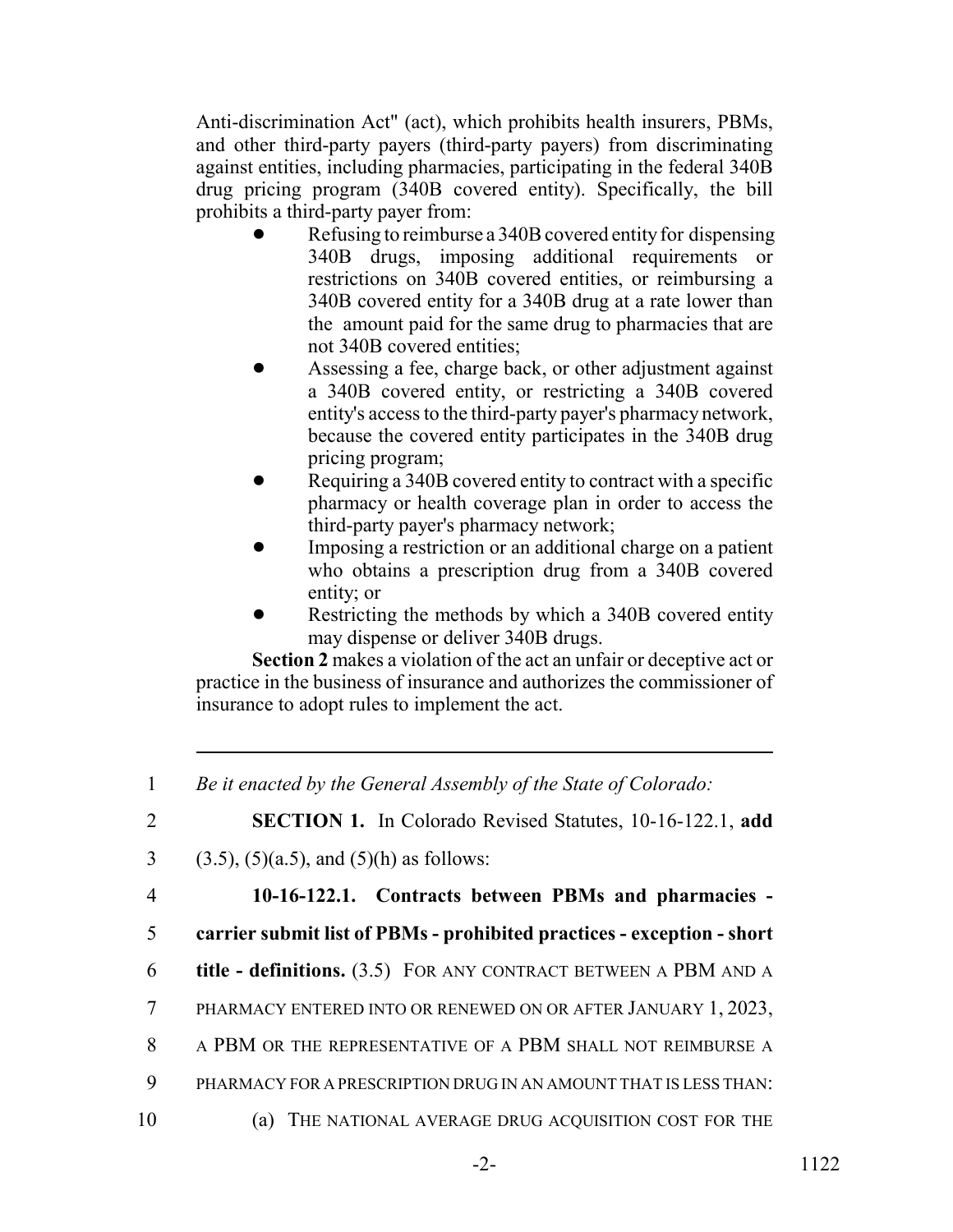Anti-discrimination Act" (act), which prohibits health insurers, PBMs, and other third-party payers (third-party payers) from discriminating against entities, including pharmacies, participating in the federal 340B drug pricing program (340B covered entity). Specifically, the bill prohibits a third-party payer from:

- Refusing to reimburse a 340B covered entity for dispensing 340B drugs, imposing additional requirements or restrictions on 340B covered entities, or reimbursing a 340B covered entity for a 340B drug at a rate lower than the amount paid for the same drug to pharmacies that are not 340B covered entities;
- ! Assessing a fee, charge back, or other adjustment against a 340B covered entity, or restricting a 340B covered entity's access to the third-party payer's pharmacy network, because the covered entity participates in the 340B drug pricing program;
- Requiring a 340B covered entity to contract with a specific pharmacy or health coverage plan in order to access the third-party payer's pharmacy network;
- ! Imposing a restriction or an additional charge on a patient who obtains a prescription drug from a 340B covered entity; or
- Restricting the methods by which a 340B covered entity may dispense or deliver 340B drugs.

**Section 2** makes a violation of the act an unfair or deceptive act or practice in the business of insurance and authorizes the commissioner of insurance to adopt rules to implement the act.

<sup>1</sup> *Be it enacted by the General Assembly of the State of Colorado:* 2 **SECTION 1.** In Colorado Revised Statutes, 10-16-122.1, **add** 3 (3.5), (5)(a.5), and (5)(h) as follows: 4 **10-16-122.1. Contracts between PBMs and pharmacies -** 5 **carrier submit list of PBMs - prohibited practices - exception - short** 6 **title - definitions.** (3.5) FOR ANY CONTRACT BETWEEN A PBM AND A 7 PHARMACY ENTERED INTO OR RENEWED ON OR AFTER JANUARY 1, 2023, 8 A PBM OR THE REPRESENTATIVE OF A PBM SHALL NOT REIMBURSE A 9 PHARMACY FOR A PRESCRIPTION DRUG IN AN AMOUNT THAT IS LESS THAN: 10 (a) THE NATIONAL AVERAGE DRUG ACQUISITION COST FOR THE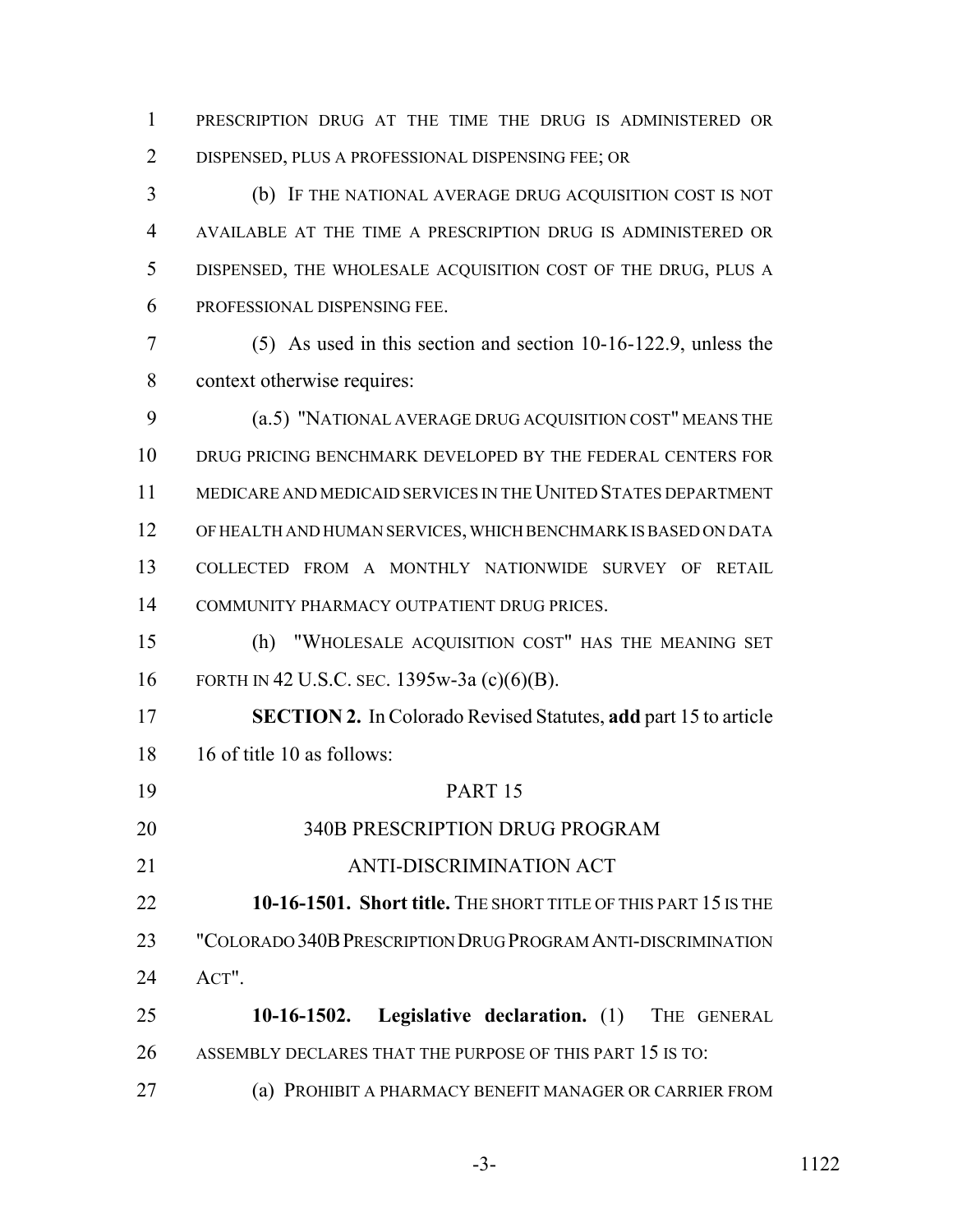PRESCRIPTION DRUG AT THE TIME THE DRUG IS ADMINISTERED OR DISPENSED, PLUS A PROFESSIONAL DISPENSING FEE; OR

 (b) IF THE NATIONAL AVERAGE DRUG ACQUISITION COST IS NOT AVAILABLE AT THE TIME A PRESCRIPTION DRUG IS ADMINISTERED OR DISPENSED, THE WHOLESALE ACQUISITION COST OF THE DRUG, PLUS A PROFESSIONAL DISPENSING FEE.

 (5) As used in this section and section 10-16-122.9, unless the context otherwise requires:

 (a.5) "NATIONAL AVERAGE DRUG ACQUISITION COST" MEANS THE DRUG PRICING BENCHMARK DEVELOPED BY THE FEDERAL CENTERS FOR MEDICARE AND MEDICAID SERVICES IN THE UNITED STATES DEPARTMENT OF HEALTH AND HUMAN SERVICES, WHICH BENCHMARK IS BASED ON DATA COLLECTED FROM A MONTHLY NATIONWIDE SURVEY OF RETAIL COMMUNITY PHARMACY OUTPATIENT DRUG PRICES.

 (h) "WHOLESALE ACQUISITION COST" HAS THE MEANING SET FORTH IN 42 U.S.C. SEC. 1395w-3a (c)(6)(B).

 **SECTION 2.** In Colorado Revised Statutes, **add** part 15 to article 16 of title 10 as follows:

 PART 15 340B PRESCRIPTION DRUG PROGRAM ANTI-DISCRIMINATION ACT **10-16-1501. Short title.** THE SHORT TITLE OF THIS PART 15 IS THE "COLORADO 340BPRESCRIPTION DRUG PROGRAM ANTI-DISCRIMINATION ACT". **10-16-1502. Legislative declaration.** (1) THE GENERAL ASSEMBLY DECLARES THAT THE PURPOSE OF THIS PART 15 IS TO:

(a) PROHIBIT A PHARMACY BENEFIT MANAGER OR CARRIER FROM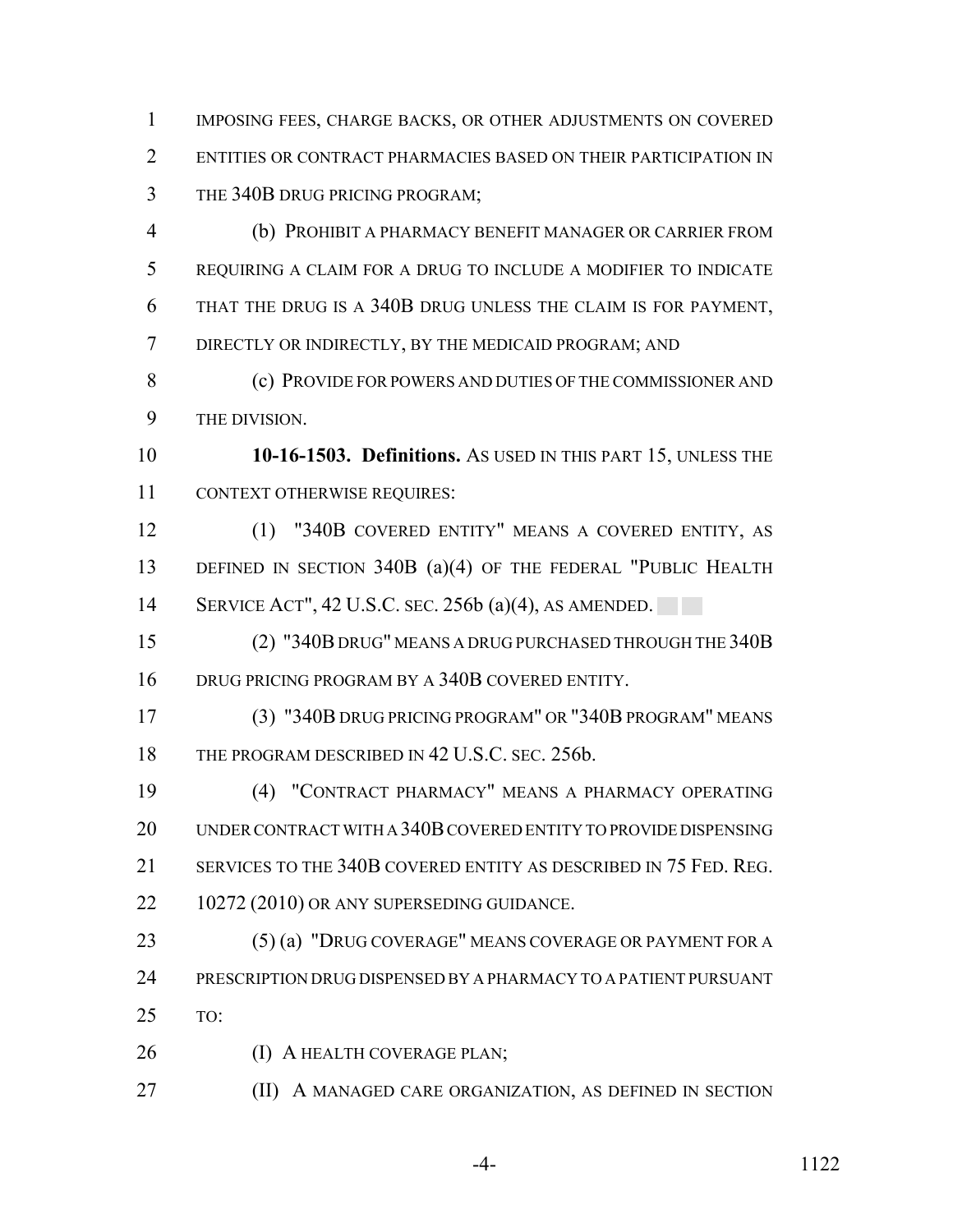IMPOSING FEES, CHARGE BACKS, OR OTHER ADJUSTMENTS ON COVERED ENTITIES OR CONTRACT PHARMACIES BASED ON THEIR PARTICIPATION IN THE 340B DRUG PRICING PROGRAM;

 (b) PROHIBIT A PHARMACY BENEFIT MANAGER OR CARRIER FROM REQUIRING A CLAIM FOR A DRUG TO INCLUDE A MODIFIER TO INDICATE THAT THE DRUG IS A 340B DRUG UNLESS THE CLAIM IS FOR PAYMENT, DIRECTLY OR INDIRECTLY, BY THE MEDICAID PROGRAM; AND

 (c) PROVIDE FOR POWERS AND DUTIES OF THE COMMISSIONER AND THE DIVISION.

 **10-16-1503. Definitions.** AS USED IN THIS PART 15, UNLESS THE CONTEXT OTHERWISE REQUIRES:

 (1) "340B COVERED ENTITY" MEANS A COVERED ENTITY, AS 13 DEFINED IN SECTION 340B (a)(4) OF THE FEDERAL "PUBLIC HEALTH 14 SERVICE ACT", 42 U.S.C. SEC. 256b (a)(4), AS AMENDED.

 (2) "340B DRUG" MEANS A DRUG PURCHASED THROUGH THE 340B DRUG PRICING PROGRAM BY A 340B COVERED ENTITY.

 (3) "340B DRUG PRICING PROGRAM" OR "340B PROGRAM" MEANS 18 THE PROGRAM DESCRIBED IN 42 U.S.C. SEC. 256b.

 (4) "CONTRACT PHARMACY" MEANS A PHARMACY OPERATING UNDER CONTRACT WITH A 340B COVERED ENTITY TO PROVIDE DISPENSING 21 SERVICES TO THE 340B COVERED ENTITY AS DESCRIBED IN 75 FED. REG. 22 10272 (2010) OR ANY SUPERSEDING GUIDANCE.

23 (5) (a) "DRUG COVERAGE" MEANS COVERAGE OR PAYMENT FOR A PRESCRIPTION DRUG DISPENSED BY A PHARMACY TO A PATIENT PURSUANT TO:

26 (I) A HEALTH COVERAGE PLAN;

(II) A MANAGED CARE ORGANIZATION, AS DEFINED IN SECTION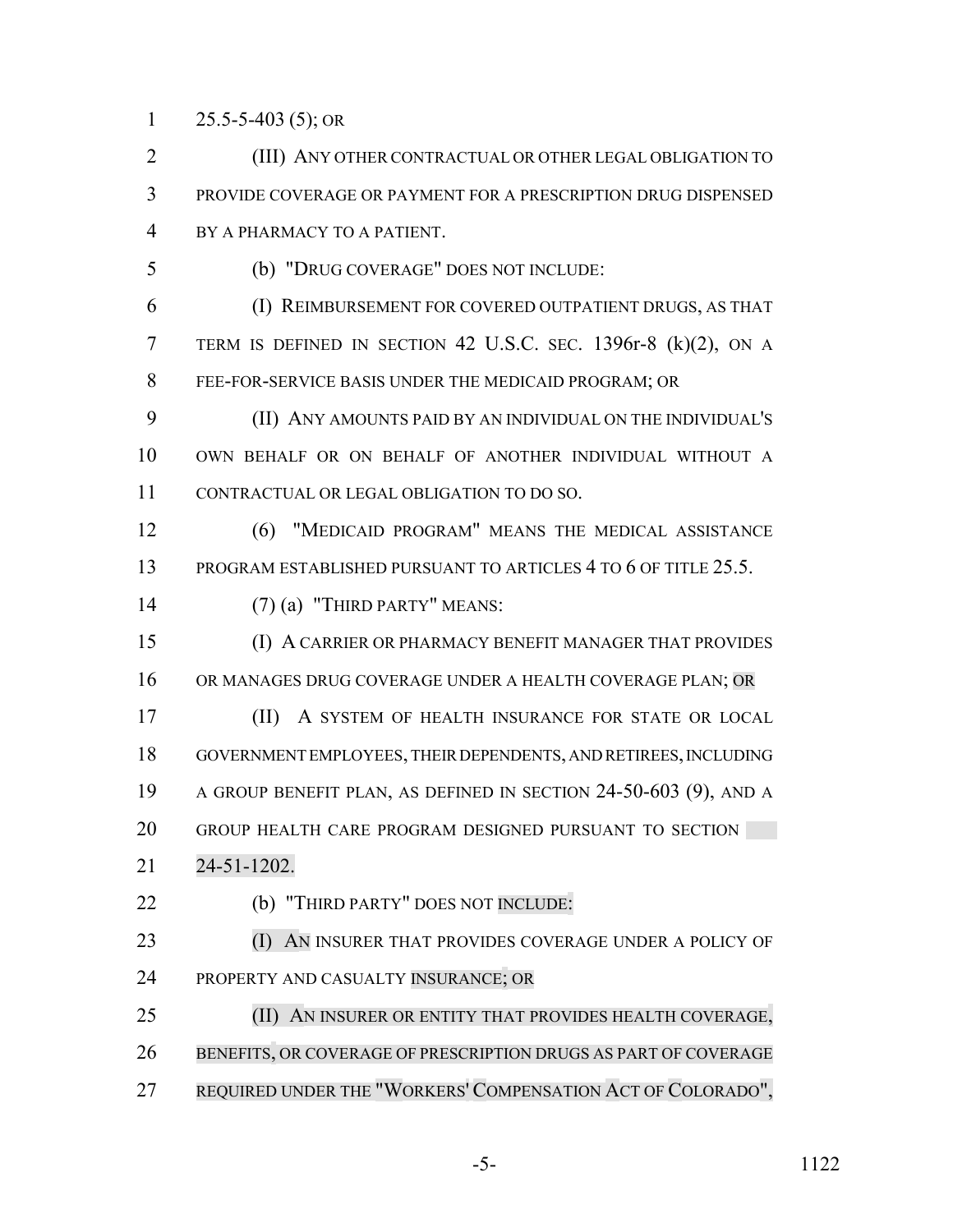1 25.5-5-403 (5); OR

 (III) ANY OTHER CONTRACTUAL OR OTHER LEGAL OBLIGATION TO PROVIDE COVERAGE OR PAYMENT FOR A PRESCRIPTION DRUG DISPENSED BY A PHARMACY TO A PATIENT.

(b) "DRUG COVERAGE" DOES NOT INCLUDE:

 (I) REIMBURSEMENT FOR COVERED OUTPATIENT DRUGS, AS THAT TERM IS DEFINED IN SECTION 42 U.S.C. SEC. 1396r-8 (k)(2), ON A FEE-FOR-SERVICE BASIS UNDER THE MEDICAID PROGRAM; OR

 (II) ANY AMOUNTS PAID BY AN INDIVIDUAL ON THE INDIVIDUAL'S OWN BEHALF OR ON BEHALF OF ANOTHER INDIVIDUAL WITHOUT A CONTRACTUAL OR LEGAL OBLIGATION TO DO SO.

 (6) "MEDICAID PROGRAM" MEANS THE MEDICAL ASSISTANCE 13 PROGRAM ESTABLISHED PURSUANT TO ARTICLES 4 TO 6 OF TITLE 25.5.

(7) (a) "THIRD PARTY" MEANS:

 (I) A CARRIER OR PHARMACY BENEFIT MANAGER THAT PROVIDES 16 OR MANAGES DRUG COVERAGE UNDER A HEALTH COVERAGE PLAN; OR

 (II) A SYSTEM OF HEALTH INSURANCE FOR STATE OR LOCAL GOVERNMENT EMPLOYEES, THEIR DEPENDENTS, AND RETIREES, INCLUDING A GROUP BENEFIT PLAN, AS DEFINED IN SECTION 24-50-603 (9), AND A GROUP HEALTH CARE PROGRAM DESIGNED PURSUANT TO SECTION

- 24-51-1202.
- (b) "THIRD PARTY" DOES NOT INCLUDE:
- **(I) AN INSURER THAT PROVIDES COVERAGE UNDER A POLICY OF** PROPERTY AND CASUALTY INSURANCE; OR

 (II) AN INSURER OR ENTITY THAT PROVIDES HEALTH COVERAGE, BENEFITS, OR COVERAGE OF PRESCRIPTION DRUGS AS PART OF COVERAGE REQUIRED UNDER THE "WORKERS' COMPENSATION ACT OF COLORADO",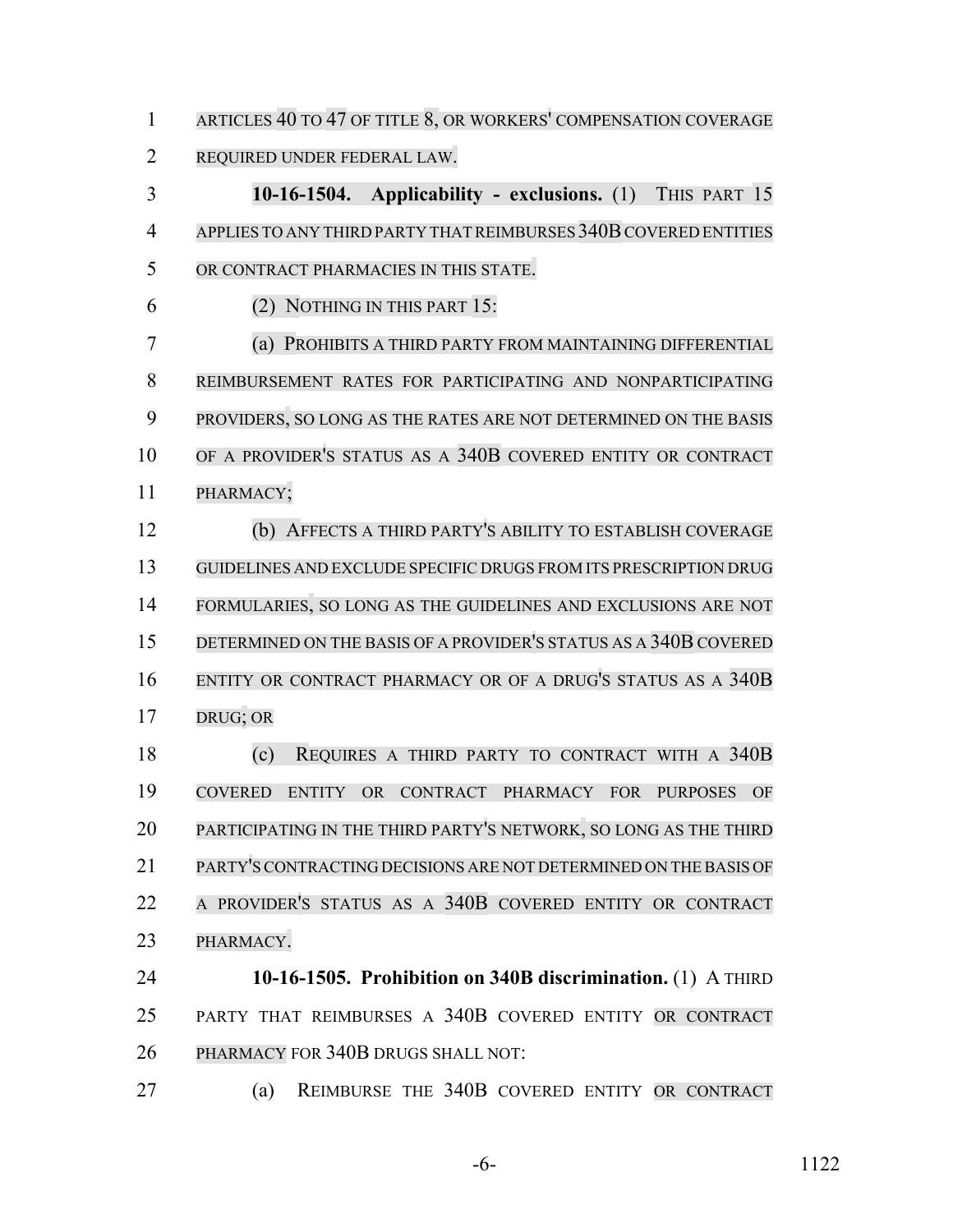ARTICLES 40 TO 47 OF TITLE 8, OR WORKERS' COMPENSATION COVERAGE REQUIRED UNDER FEDERAL LAW.

 **10-16-1504. Applicability - exclusions.** (1) THIS PART 15 4 APPLIES TO ANY THIRD PARTY THAT REIMBURSES 340B COVERED ENTITIES OR CONTRACT PHARMACIES IN THIS STATE. (2) NOTHING IN THIS PART 15:

 (a) PROHIBITS A THIRD PARTY FROM MAINTAINING DIFFERENTIAL REIMBURSEMENT RATES FOR PARTICIPATING AND NONPARTICIPATING PROVIDERS, SO LONG AS THE RATES ARE NOT DETERMINED ON THE BASIS OF A PROVIDER'S STATUS AS A 340B COVERED ENTITY OR CONTRACT PHARMACY;

 (b) AFFECTS A THIRD PARTY'S ABILITY TO ESTABLISH COVERAGE GUIDELINES AND EXCLUDE SPECIFIC DRUGS FROM ITS PRESCRIPTION DRUG FORMULARIES, SO LONG AS THE GUIDELINES AND EXCLUSIONS ARE NOT 15 DETERMINED ON THE BASIS OF A PROVIDER'S STATUS AS A 340B COVERED ENTITY OR CONTRACT PHARMACY OR OF A DRUG'S STATUS AS A 340B DRUG; OR

 (c) REQUIRES A THIRD PARTY TO CONTRACT WITH A 340B COVERED ENTITY OR CONTRACT PHARMACY FOR PURPOSES OF PARTICIPATING IN THE THIRD PARTY'S NETWORK, SO LONG AS THE THIRD PARTY'SCONTRACTING DECISIONS ARE NOT DETERMINED ON THE BASIS OF A PROVIDER'S STATUS AS A 340B COVERED ENTITY OR CONTRACT PHARMACY.

 **10-16-1505. Prohibition on 340B discrimination.** (1) A THIRD PARTY THAT REIMBURSES A 340B COVERED ENTITY OR CONTRACT PHARMACY FOR 340B DRUGS SHALL NOT:

(a) REIMBURSE THE 340B COVERED ENTITY OR CONTRACT

-6- 1122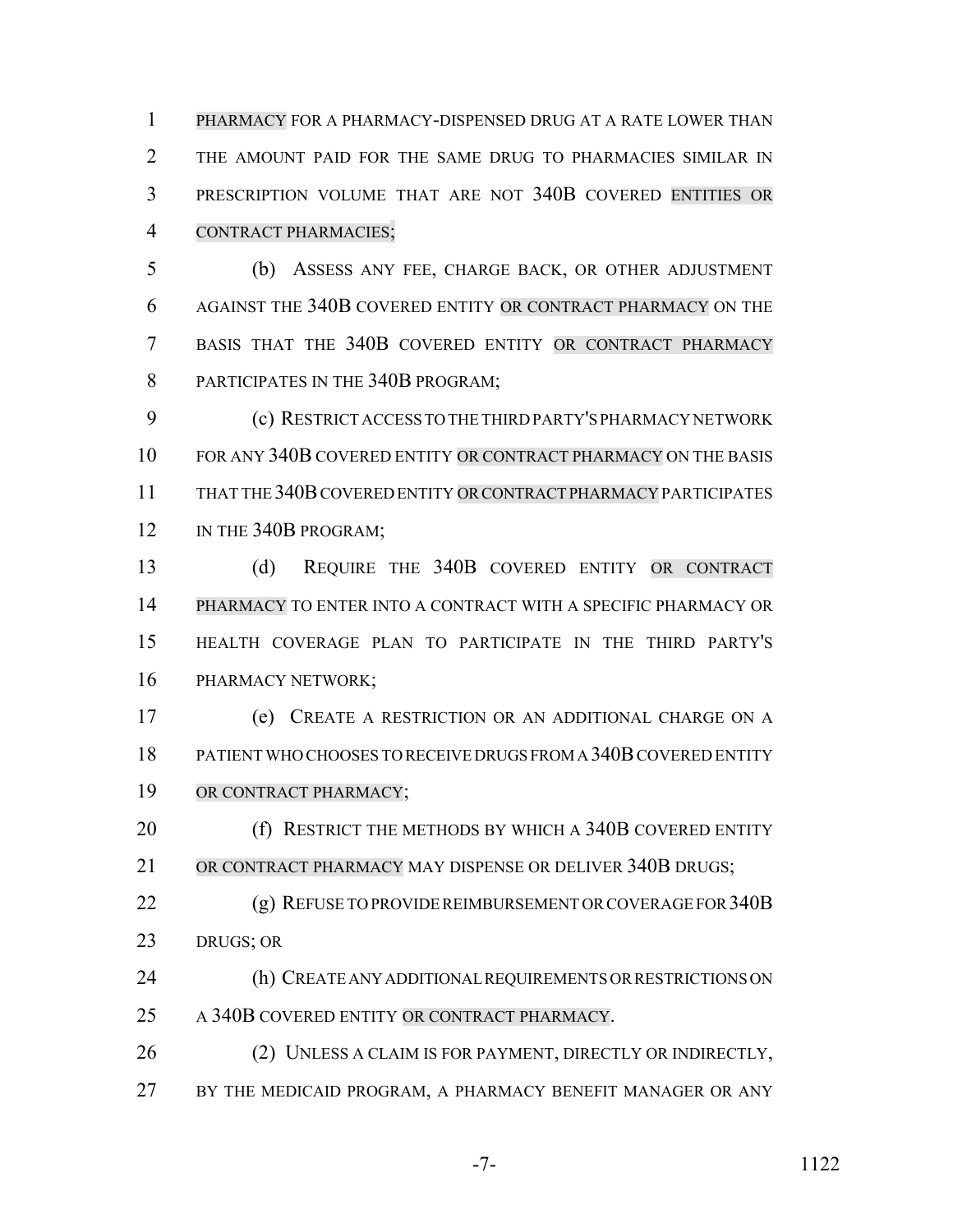PHARMACY FOR A PHARMACY-DISPENSED DRUG AT A RATE LOWER THAN THE AMOUNT PAID FOR THE SAME DRUG TO PHARMACIES SIMILAR IN PRESCRIPTION VOLUME THAT ARE NOT 340B COVERED ENTITIES OR CONTRACT PHARMACIES;

 (b) ASSESS ANY FEE, CHARGE BACK, OR OTHER ADJUSTMENT AGAINST THE 340B COVERED ENTITY OR CONTRACT PHARMACY ON THE BASIS THAT THE 340B COVERED ENTITY OR CONTRACT PHARMACY 8 PARTICIPATES IN THE 340B PROGRAM:

 (c) RESTRICT ACCESS TO THE THIRD PARTY'S PHARMACY NETWORK FOR ANY 340B COVERED ENTITY OR CONTRACT PHARMACY ON THE BASIS THAT THE 340B COVERED ENTITY OR CONTRACT PHARMACY PARTICIPATES 12 IN THE 340B PROGRAM;

 (d) REQUIRE THE 340B COVERED ENTITY OR CONTRACT PHARMACY TO ENTER INTO A CONTRACT WITH A SPECIFIC PHARMACY OR HEALTH COVERAGE PLAN TO PARTICIPATE IN THE THIRD PARTY'S PHARMACY NETWORK;

 (e) CREATE A RESTRICTION OR AN ADDITIONAL CHARGE ON A PATIENT WHO CHOOSES TO RECEIVE DRUGS FROM A 340B COVERED ENTITY OR CONTRACT PHARMACY;

20 (f) RESTRICT THE METHODS BY WHICH A 340B COVERED ENTITY OR CONTRACT PHARMACY MAY DISPENSE OR DELIVER 340B DRUGS;

 (g) REFUSE TO PROVIDE REIMBURSEMENT OR COVERAGE FOR 340B DRUGS; OR

 (h) CREATE ANY ADDITIONAL REQUIREMENTS OR RESTRICTIONS ON 25 A 340B COVERED ENTITY OR CONTRACT PHARMACY.

26 (2) UNLESS A CLAIM IS FOR PAYMENT, DIRECTLY OR INDIRECTLY, 27 BY THE MEDICAID PROGRAM, A PHARMACY BENEFIT MANAGER OR ANY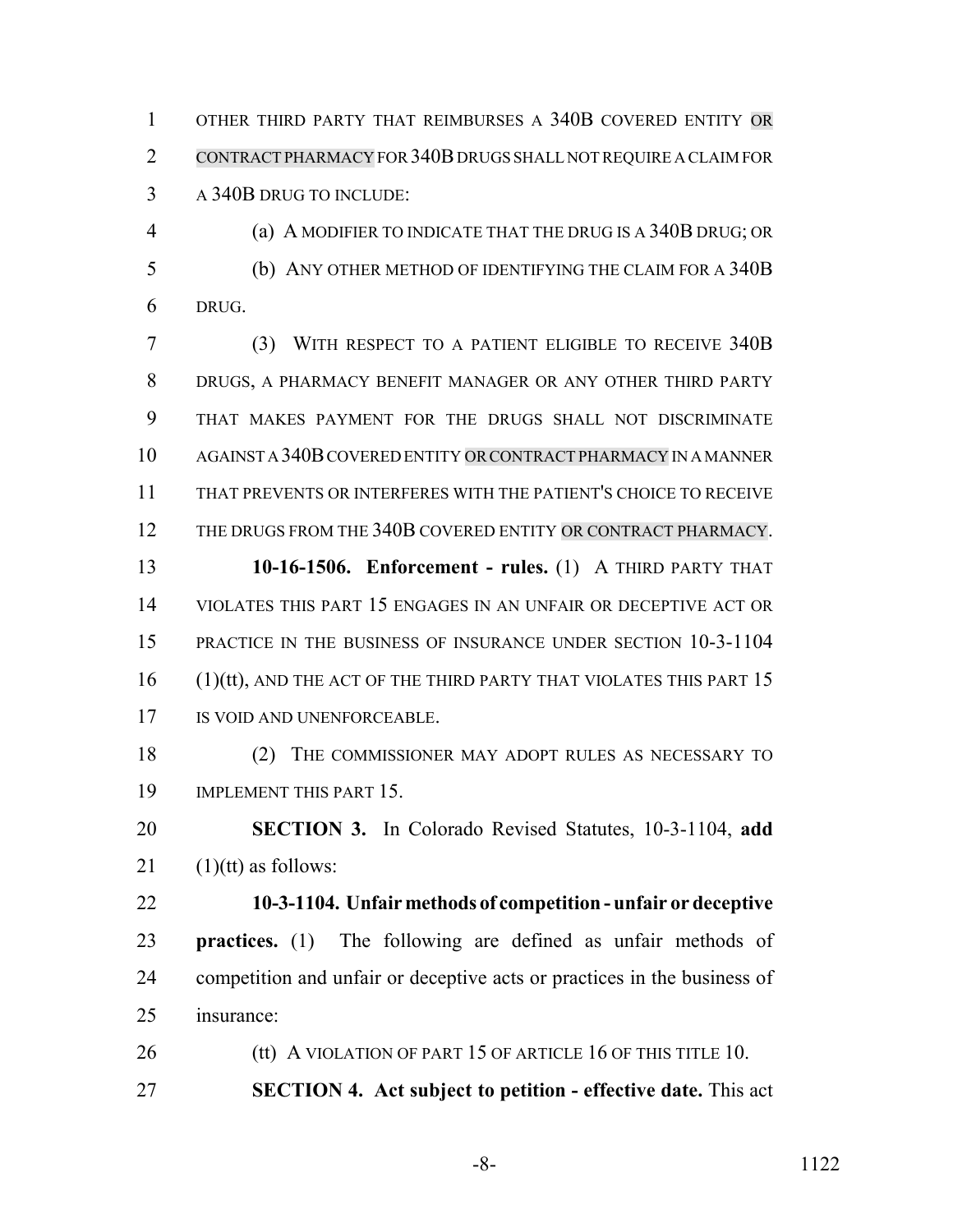OTHER THIRD PARTY THAT REIMBURSES A 340B COVERED ENTITY OR CONTRACT PHARMACY FOR 340B DRUGS SHALL NOT REQUIRE A CLAIM FOR A 340B DRUG TO INCLUDE:

 (a) A MODIFIER TO INDICATE THAT THE DRUG IS A 340B DRUG; OR (b) ANY OTHER METHOD OF IDENTIFYING THE CLAIM FOR A 340B DRUG.

 (3) WITH RESPECT TO A PATIENT ELIGIBLE TO RECEIVE 340B DRUGS, A PHARMACY BENEFIT MANAGER OR ANY OTHER THIRD PARTY THAT MAKES PAYMENT FOR THE DRUGS SHALL NOT DISCRIMINATE AGAINST A 340B COVERED ENTITY ORCONTRACT PHARMACY IN A MANNER THAT PREVENTS OR INTERFERES WITH THE PATIENT'S CHOICE TO RECEIVE THE DRUGS FROM THE 340B COVERED ENTITY OR CONTRACT PHARMACY.

 **10-16-1506. Enforcement - rules.** (1) A THIRD PARTY THAT VIOLATES THIS PART 15 ENGAGES IN AN UNFAIR OR DECEPTIVE ACT OR PRACTICE IN THE BUSINESS OF INSURANCE UNDER SECTION 10-3-1104 16 (1)(tt), AND THE ACT OF THE THIRD PARTY THAT VIOLATES THIS PART 15 17 IS VOID AND UNENFORCEABLE.

 (2) THE COMMISSIONER MAY ADOPT RULES AS NECESSARY TO IMPLEMENT THIS PART 15.

 **SECTION 3.** In Colorado Revised Statutes, 10-3-1104, **add** (1)(tt) as follows:

 **10-3-1104. Unfair methods of competition - unfair or deceptive practices.** (1) The following are defined as unfair methods of competition and unfair or deceptive acts or practices in the business of insurance:

26 (tt) A VIOLATION OF PART 15 OF ARTICLE 16 OF THIS TITLE 10. **SECTION 4. Act subject to petition - effective date.** This act